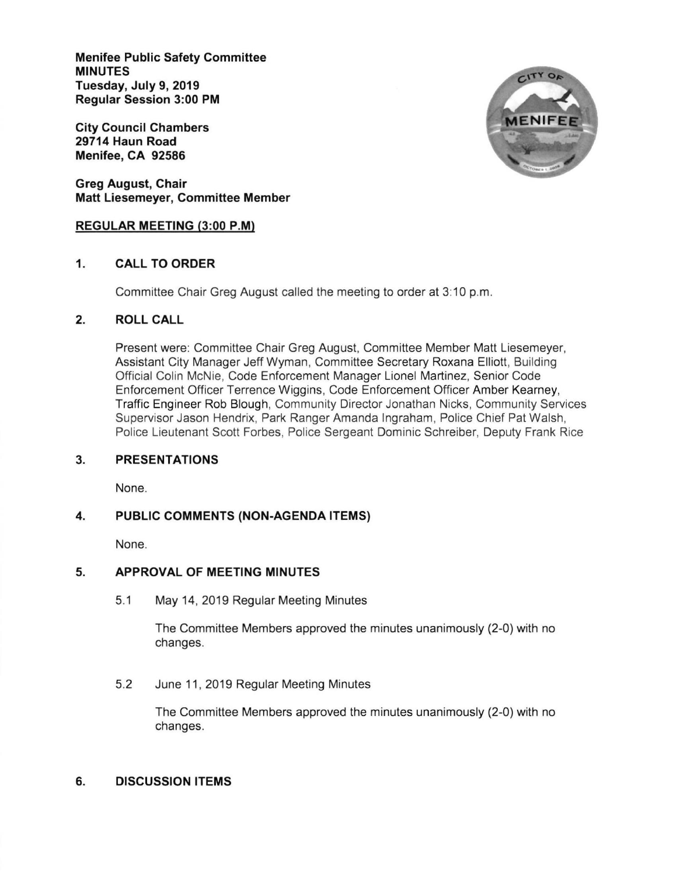Menifee Public Safety Committee MINUTES Tuesday, July 9, 2019 Regular Session 3:00 PM

City Council Chambers 29714 Haun Road Menifee, CA 92586

Greg August, Chair Matt Liesemeyer, Committee Member

## REGULAR MEETING (3:00 P.M)

# 1. CALL TO ORDER

Committee Chair Greg August called the meeting to order at 3:10 p.m.

# 2. ROLLCALL

Present were: Committee Chair Greg August, Committee Member Matt Liesemeyer, Assistant City Manager Jeff Wyman, Committee Secretary Roxana Elliott, Euilding Official Colin McNie, Code Enforcement Manager Lionel Martinez, Senior Code Enforcement Officer Terrence Wiggins, Code Enforcement Officer Amber Kearney, Traffic Engineer Rob Blough, Community Director Jonathan Nicks, Community Services Supervisor Jason Hendrix, Park Ranger Amanda lngraham, Police Chief Pat Walsh, Police Lieutenant Scott Forbes, Police Sergeant Dominic Schreiber, Deputy Frank Rice

#### PRESENTATIONS 3.

None.

### PUBLIC COMMENTS (NON-AGENDA ITEMS) 4.

None.

### APPROVAL OF MEETING MINUTES 5.

5.1 May 14, 2019 Regular Meeting Minutes

The Committee Members approved the minutes unanimously (2-0) with no changes.

5.2 June 11, 2019 Regular Meeting Minutes

The Committee Members approved the minutes unanimously (2-0) with no changes.

### 6. DISCUSSION ITEMS

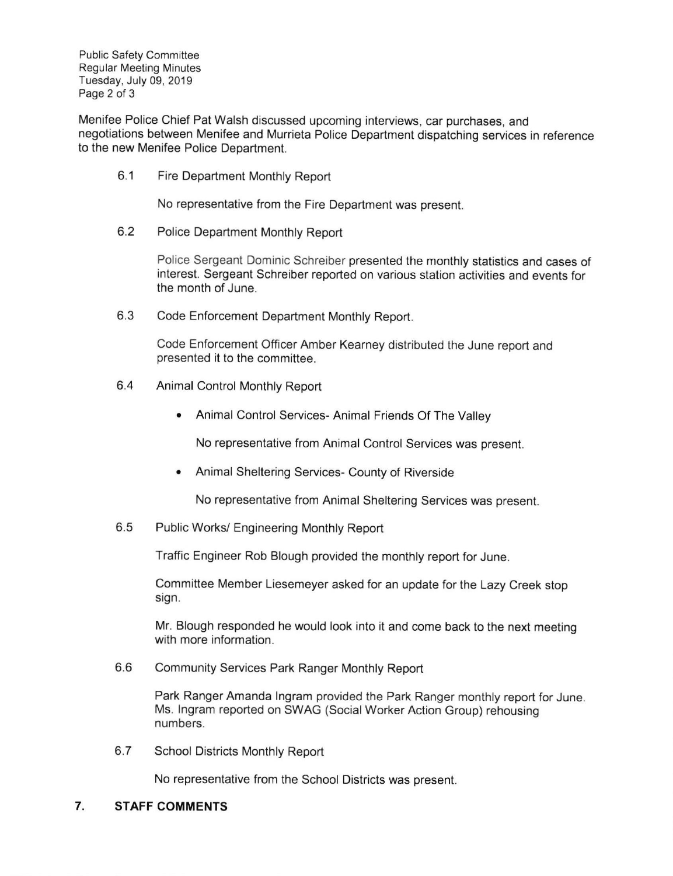Public Safety Committee Regular Meeting Minutes Tuesday, July 09, 2019 Page 2 of 3

Menifee Police Chief Pat Walsh discussed upcoming interviews, car purchases, and negotiations between Menifee and Murrieta Police Department dispatching services in reference to the new Menifee Police Department.

6.1 Fire Department Monthly Report

No representative from the Fire Department was present

6.2 Police Department Monthly Report

Police Sergeant Dominic Schreiber presented the monthly statistics and cases of interest. Sergeant Schreiber reported on various station activities and events for the month of June.

6.3 Code Enforcement Department Monthly Report.

Code Enforcement Officer Amber Kearney distributed the June report and presented it to the committee.

- 6.4 Animal Control Monthly Report
	- Animal Control Services- Animal Friends Of The Valley

No representative from Animal Control Services was present.

• Animal Sheltering Services- County of Riverside

No representative from Animal Sheltering Services was present.

6.5 Public Works/ Engineering Monthly Report

Traffic Engineer Rob Blough provided the monthly report for June.

Committee Member Liesemeyer asked for an update for the Lazy Creek stop sign.

Mr. Blough responded he would look into it and come back to the next meeting with more information.

6.6 Community Services Park Ranger Monthly Report

Park Ranger Amanda lngram provided the Park Ranger monthly report for June Ms. lngram reporled on SWAG (Social Worker Action Group) rehousing numbers.

6.7 School Districts Monthly Report

No representative from the School Districts was present.

### 7. STAFF COMMENTS